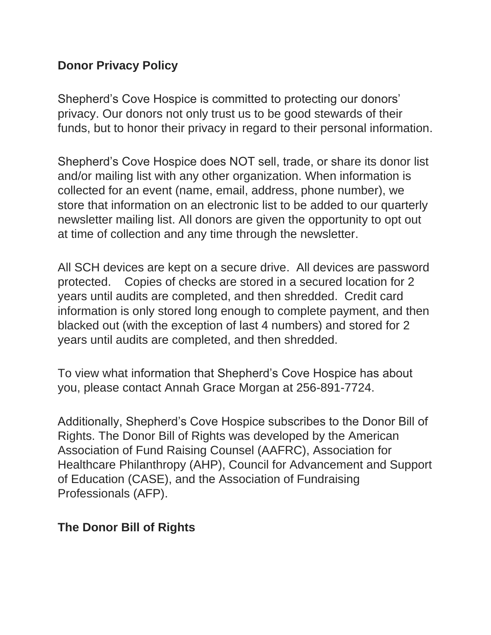## **Donor Privacy Policy**

Shepherd's Cove Hospice is committed to protecting our donors' privacy. Our donors not only trust us to be good stewards of their funds, but to honor their privacy in regard to their personal information.

Shepherd's Cove Hospice does NOT sell, trade, or share its donor list and/or mailing list with any other organization. When information is collected for an event (name, email, address, phone number), we store that information on an electronic list to be added to our quarterly newsletter mailing list. All donors are given the opportunity to opt out at time of collection and any time through the newsletter.

All SCH devices are kept on a secure drive. All devices are password protected. Copies of checks are stored in a secured location for 2 years until audits are completed, and then shredded. Credit card information is only stored long enough to complete payment, and then blacked out (with the exception of last 4 numbers) and stored for 2 years until audits are completed, and then shredded.

To view what information that Shepherd's Cove Hospice has about you, please contact Annah Grace Morgan at 256-891-7724.

Additionally, Shepherd's Cove Hospice subscribes to the Donor Bill of Rights. The Donor Bill of Rights was developed by the American Association of Fund Raising Counsel (AAFRC), Association for Healthcare Philanthropy (AHP), Council for Advancement and Support of Education (CASE), and the Association of Fundraising Professionals (AFP).

## **The Donor Bill of Rights**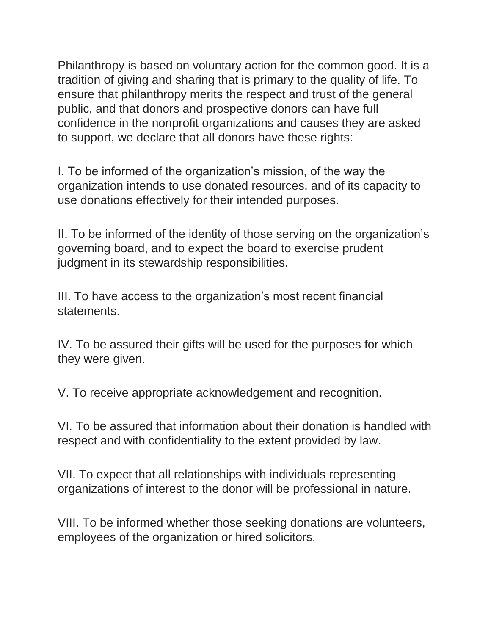Philanthropy is based on voluntary action for the common good. It is a tradition of giving and sharing that is primary to the quality of life. To ensure that philanthropy merits the respect and trust of the general public, and that donors and prospective donors can have full confidence in the nonprofit organizations and causes they are asked to support, we declare that all donors have these rights:

I. To be informed of the organization's mission, of the way the organization intends to use donated resources, and of its capacity to use donations effectively for their intended purposes.

II. To be informed of the identity of those serving on the organization's governing board, and to expect the board to exercise prudent judgment in its stewardship responsibilities.

III. To have access to the organization's most recent financial statements.

IV. To be assured their gifts will be used for the purposes for which they were given.

V. To receive appropriate acknowledgement and recognition.

VI. To be assured that information about their donation is handled with respect and with confidentiality to the extent provided by law.

VII. To expect that all relationships with individuals representing organizations of interest to the donor will be professional in nature.

VIII. To be informed whether those seeking donations are volunteers, employees of the organization or hired solicitors.